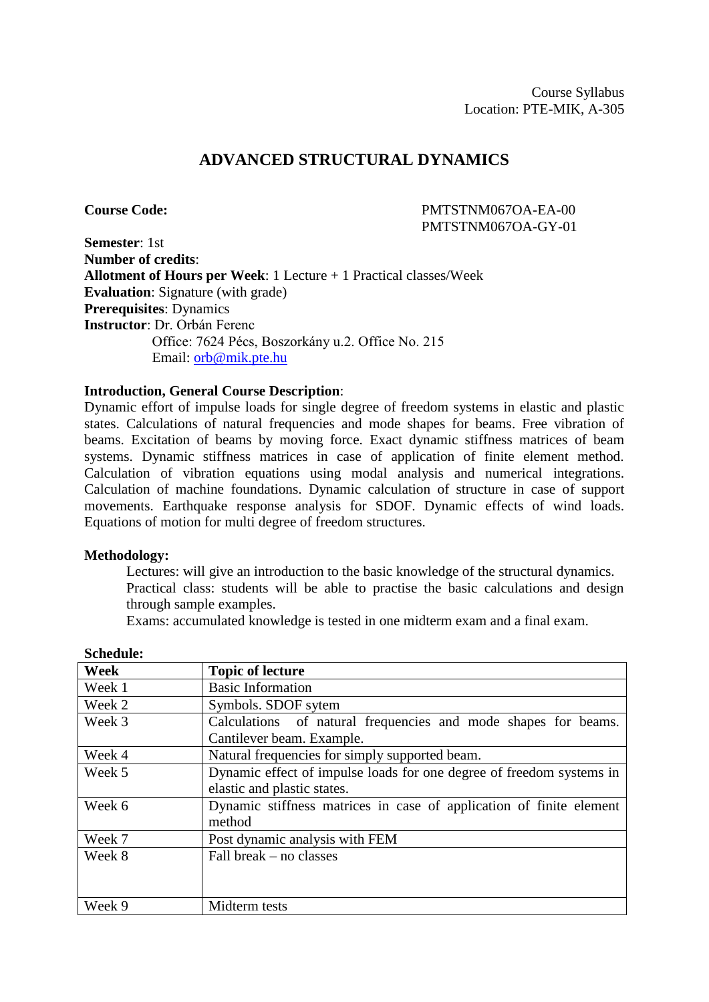# **ADVANCED STRUCTURAL DYNAMICS**

**Course Code:** PMTSTNM067OA-EA-00 PMTSTNM067OA-GY-01

**Semester**: 1st **Number of credits**: **Allotment of Hours per Week**: 1 Lecture + 1 Practical classes/Week **Evaluation**: Signature (with grade) **Prerequisites**: Dynamics **Instructor**: Dr. Orbán Ferenc Office: 7624 Pécs, Boszorkány u.2. Office No. 215 Email: [orb@mik.pte.hu](mailto:orb@mik.pte.hu)

#### **Introduction, General Course Description**:

Dynamic effort of impulse loads for single degree of freedom systems in elastic and plastic states. Calculations of natural frequencies and mode shapes for beams. Free vibration of beams. Excitation of beams by moving force. Exact dynamic stiffness matrices of beam systems. Dynamic stiffness matrices in case of application of finite element method. Calculation of vibration equations using modal analysis and numerical integrations. Calculation of machine foundations. Dynamic calculation of structure in case of support movements. Earthquake response analysis for SDOF. Dynamic effects of wind loads. Equations of motion for multi degree of freedom structures.

#### **Methodology:**

Lectures: will give an introduction to the basic knowledge of the structural dynamics. Practical class: students will be able to practise the basic calculations and design through sample examples.

Exams: accumulated knowledge is tested in one midterm exam and a final exam.

| <b>Week</b> | <b>Topic of lecture</b>                                              |  |  |  |  |  |
|-------------|----------------------------------------------------------------------|--|--|--|--|--|
| Week 1      | <b>Basic Information</b>                                             |  |  |  |  |  |
| Week 2      | Symbols. SDOF sytem                                                  |  |  |  |  |  |
| Week 3      | Calculations of natural frequencies and mode shapes for beams.       |  |  |  |  |  |
|             | Cantilever beam. Example.                                            |  |  |  |  |  |
| Week 4      | Natural frequencies for simply supported beam.                       |  |  |  |  |  |
| Week 5      | Dynamic effect of impulse loads for one degree of freedom systems in |  |  |  |  |  |
|             | elastic and plastic states.                                          |  |  |  |  |  |
| Week 6      | Dynamic stiffness matrices in case of application of finite element  |  |  |  |  |  |
|             | method                                                               |  |  |  |  |  |
| Week 7      | Post dynamic analysis with FEM                                       |  |  |  |  |  |
| Week 8      | Fall break – no classes                                              |  |  |  |  |  |
|             |                                                                      |  |  |  |  |  |
|             |                                                                      |  |  |  |  |  |
| Week 9      | Midterm tests                                                        |  |  |  |  |  |

**Schedule:**